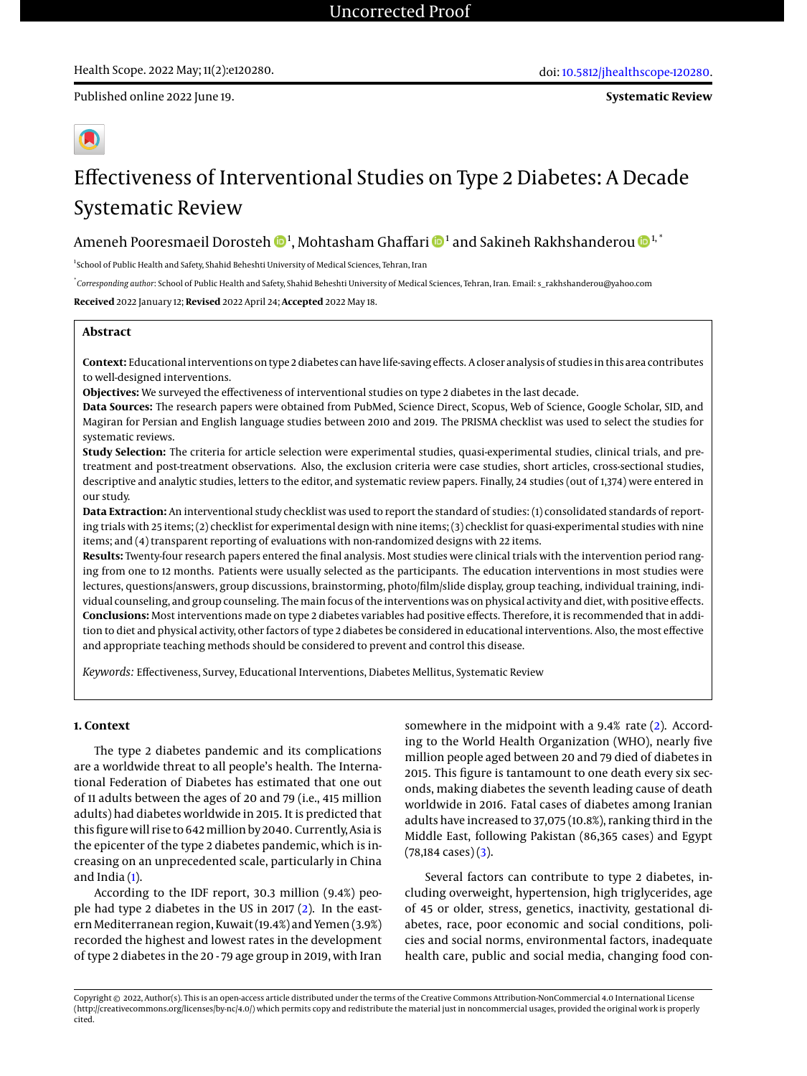Published online 2022 June 19.

# Effectiveness of Interventional Studies on Type 2 Diabetes: A Decade Systematic Review

## Ameneh Pooresmaeil Dorosteh  $\mathbf{\Phi}^1$  $\mathbf{\Phi}^1$ , Mohtasham Ghaffari  $\mathbf{\Phi}^1$  and Sakineh Rakhshanderou  $\mathbf{\Phi}^{1, *}$

<sup>1</sup>School of Public Health and Safety, Shahid Beheshti University of Medical Sciences, Tehran, Iran

\* *Corresponding author*: School of Public Health and Safety, Shahid Beheshti University of Medical Sciences, Tehran, Iran. Email: s\_rakhshanderou@yahoo.com

**Received** 2022 January 12; **Revised** 2022 April 24; **Accepted** 2022 May 18.

### **Abstract**

**Context:** Educational interventions on type 2 diabetes can have life-saving effects. A closer analysis of studies in this area contributes to well-designed interventions.

**Objectives:** We surveyed the effectiveness of interventional studies on type 2 diabetes in the last decade.

**Data Sources:** The research papers were obtained from PubMed, Science Direct, Scopus, Web of Science, Google Scholar, SID, and Magiran for Persian and English language studies between 2010 and 2019. The PRISMA checklist was used to select the studies for systematic reviews.

**Study Selection:** The criteria for article selection were experimental studies, quasi-experimental studies, clinical trials, and pretreatment and post-treatment observations. Also, the exclusion criteria were case studies, short articles, cross-sectional studies, descriptive and analytic studies, letters to the editor, and systematic review papers. Finally, 24 studies (out of 1,374) were entered in our study.

**Data Extraction:** An interventional study checklist was used to report the standard of studies: (1) consolidated standards of reporting trials with 25 items; (2) checklist for experimental design with nine items; (3) checklist for quasi-experimental studies with nine items; and (4) transparent reporting of evaluations with non-randomized designs with 22 items.

**Results:** Twenty-four research papers entered the final analysis. Most studies were clinical trials with the intervention period ranging from one to 12 months. Patients were usually selected as the participants. The education interventions in most studies were lectures, questions/answers, group discussions, brainstorming, photo/film/slide display, group teaching, individual training, individual counseling, and group counseling. The main focus of the interventions was on physical activity and diet, with positive effects. **Conclusions:** Most interventions made on type 2 diabetes variables had positive effects. Therefore, it is recommended that in addition to diet and physical activity, other factors of type 2 diabetes be considered in educational interventions. Also, the most effective and appropriate teaching methods should be considered to prevent and control this disease.

*Keywords:* Effectiveness, Survey, Educational Interventions, Diabetes Mellitus, Systematic Review

#### **1. Context**

The type 2 diabetes pandemic and its complications are a worldwide threat to all people's health. The International Federation of Diabetes has estimated that one out of 11 adults between the ages of 20 and 79 (i.e., 415 million adults) had diabetes worldwide in 2015. It is predicted that this figure will rise to 642 million by 2040. Currently, Asia is the epicenter of the type 2 diabetes pandemic, which is increasing on an unprecedented scale, particularly in China and India [\(1\)](#page-5-0).

According to the IDF report, 30.3 million (9.4%) people had type 2 diabetes in the US in 2017 [\(2\)](#page-5-1). In the eastern Mediterranean region, Kuwait (19.4%) and Yemen (3.9%) recorded the highest and lowest rates in the development of type 2 diabetes in the 20 - 79 age group in 2019, with Iran

somewhere in the midpoint with a 9.4% rate [\(2\)](#page-5-1). According to the World Health Organization (WHO), nearly five million people aged between 20 and 79 died of diabetes in 2015. This figure is tantamount to one death every six seconds, making diabetes the seventh leading cause of death worldwide in 2016. Fatal cases of diabetes among Iranian adults have increased to 37,075 (10.8%), ranking third in the Middle East, following Pakistan (86,365 cases) and Egypt  $(78,184 \text{ cases})$  $(3)$ .

Several factors can contribute to type 2 diabetes, including overweight, hypertension, high triglycerides, age of 45 or older, stress, genetics, inactivity, gestational diabetes, race, poor economic and social conditions, policies and social norms, environmental factors, inadequate health care, public and social media, changing food con-

Copyright © 2022, Author(s). This is an open-access article distributed under the terms of the Creative Commons Attribution-NonCommercial 4.0 International License (http://creativecommons.org/licenses/by-nc/4.0/) which permits copy and redistribute the material just in noncommercial usages, provided the original work is properly cited.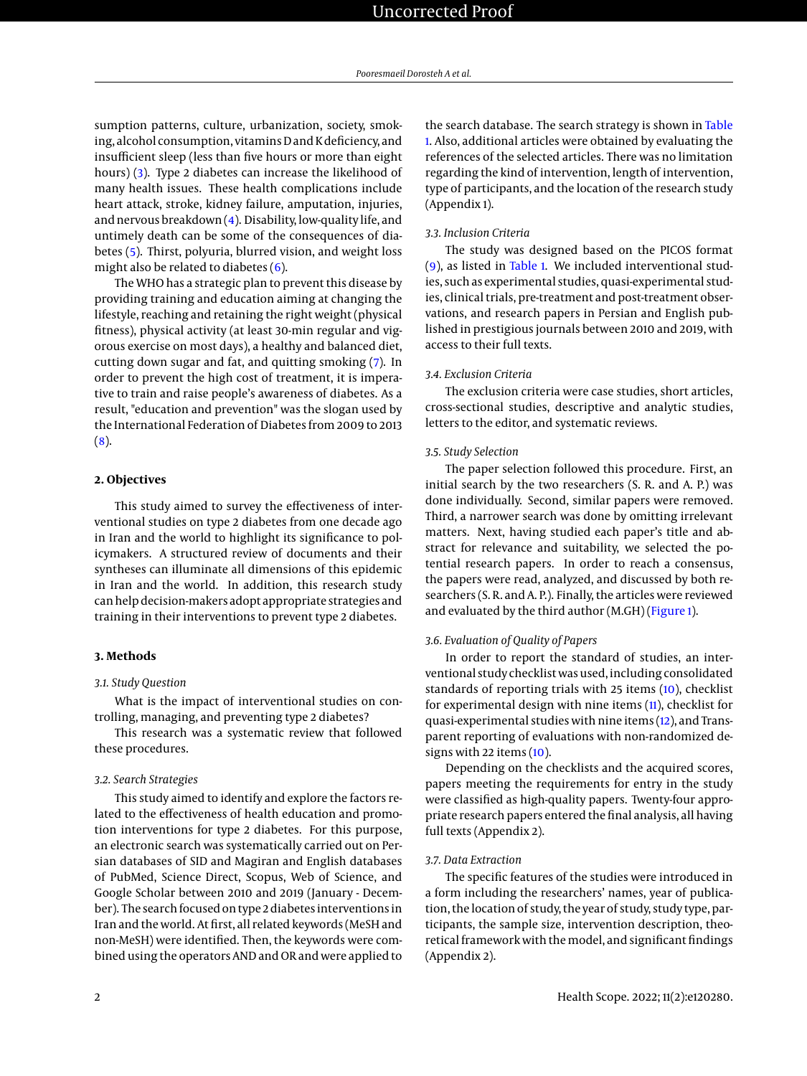sumption patterns, culture, urbanization, society, smoking, alcohol consumption, vitamins D and K deficiency, and insufficient sleep (less than five hours or more than eight hours) [\(3\)](#page-5-2). Type 2 diabetes can increase the likelihood of many health issues. These health complications include heart attack, stroke, kidney failure, amputation, injuries, and nervous breakdown [\(4\)](#page-5-3). Disability, low-quality life, and untimely death can be some of the consequences of diabetes [\(5\)](#page-5-4). Thirst, polyuria, blurred vision, and weight loss might also be related to diabetes  $(6)$ .

The WHO has a strategic plan to prevent this disease by providing training and education aiming at changing the lifestyle, reaching and retaining the right weight (physical fitness), physical activity (at least 30-min regular and vigorous exercise on most days), a healthy and balanced diet, cutting down sugar and fat, and quitting smoking [\(7\)](#page-5-6). In order to prevent the high cost of treatment, it is imperative to train and raise people's awareness of diabetes. As a result, "education and prevention" was the slogan used by the International Federation of Diabetes from 2009 to 2013 [\(8\)](#page-5-7).

#### **2. Objectives**

This study aimed to survey the effectiveness of interventional studies on type 2 diabetes from one decade ago in Iran and the world to highlight its significance to policymakers. A structured review of documents and their syntheses can illuminate all dimensions of this epidemic in Iran and the world. In addition, this research study can help decision-makers adopt appropriate strategies and training in their interventions to prevent type 2 diabetes.

#### **3. Methods**

#### *3.1. Study Question*

What is the impact of interventional studies on controlling, managing, and preventing type 2 diabetes?

This research was a systematic review that followed these procedures.

#### *3.2. Search Strategies*

This study aimed to identify and explore the factors related to the effectiveness of health education and promotion interventions for type 2 diabetes. For this purpose, an electronic search was systematically carried out on Persian databases of SID and Magiran and English databases of PubMed, Science Direct, Scopus, Web of Science, and Google Scholar between 2010 and 2019 (January - December). The search focused on type 2 diabetes interventions in Iran and the world. At first, all related keywords (MeSH and non-MeSH) were identified. Then, the keywords were combined using the operators AND and OR and were applied to

the search database. The search strategy is shown in [Table](#page-2-0) [1.](#page-2-0) Also, additional articles were obtained by evaluating the references of the selected articles. There was no limitation regarding the kind of intervention, length of intervention, type of participants, and the location of the research study (Appendix 1).

#### *3.3. Inclusion Criteria*

The study was designed based on the PICOS format [\(9\)](#page-5-8), as listed in [Table 1.](#page-2-0) We included interventional studies, such as experimental studies, quasi-experimental studies, clinical trials, pre-treatment and post-treatment observations, and research papers in Persian and English published in prestigious journals between 2010 and 2019, with access to their full texts.

#### *3.4. Exclusion Criteria*

The exclusion criteria were case studies, short articles, cross-sectional studies, descriptive and analytic studies, letters to the editor, and systematic reviews.

#### *3.5. Study Selection*

The paper selection followed this procedure. First, an initial search by the two researchers (S. R. and A. P.) was done individually. Second, similar papers were removed. Third, a narrower search was done by omitting irrelevant matters. Next, having studied each paper's title and abstract for relevance and suitability, we selected the potential research papers. In order to reach a consensus, the papers were read, analyzed, and discussed by both researchers (S. R. and A. P.). Finally, the articles were reviewed and evaluated by the third author (M.GH) [\(Figure 1\)](#page-2-1).

#### *3.6. Evaluation of Quality of Papers*

In order to report the standard of studies, an interventional study checklist was used, including consolidated standards of reporting trials with 25 items [\(10\)](#page-5-9), checklist for experimental design with nine items [\(11\)](#page-5-10), checklist for quasi-experimental studies with nine items [\(12\)](#page-5-11), and Transparent reporting of evaluations with non-randomized designs with 22 items  $(10)$ .

Depending on the checklists and the acquired scores, papers meeting the requirements for entry in the study were classified as high-quality papers. Twenty-four appropriate research papers entered the final analysis, all having full texts (Appendix 2).

#### *3.7. Data Extraction*

The specific features of the studies were introduced in a form including the researchers' names, year of publication, the location of study, the year of study, study type, participants, the sample size, intervention description, theoretical framework with the model, and significant findings (Appendix 2).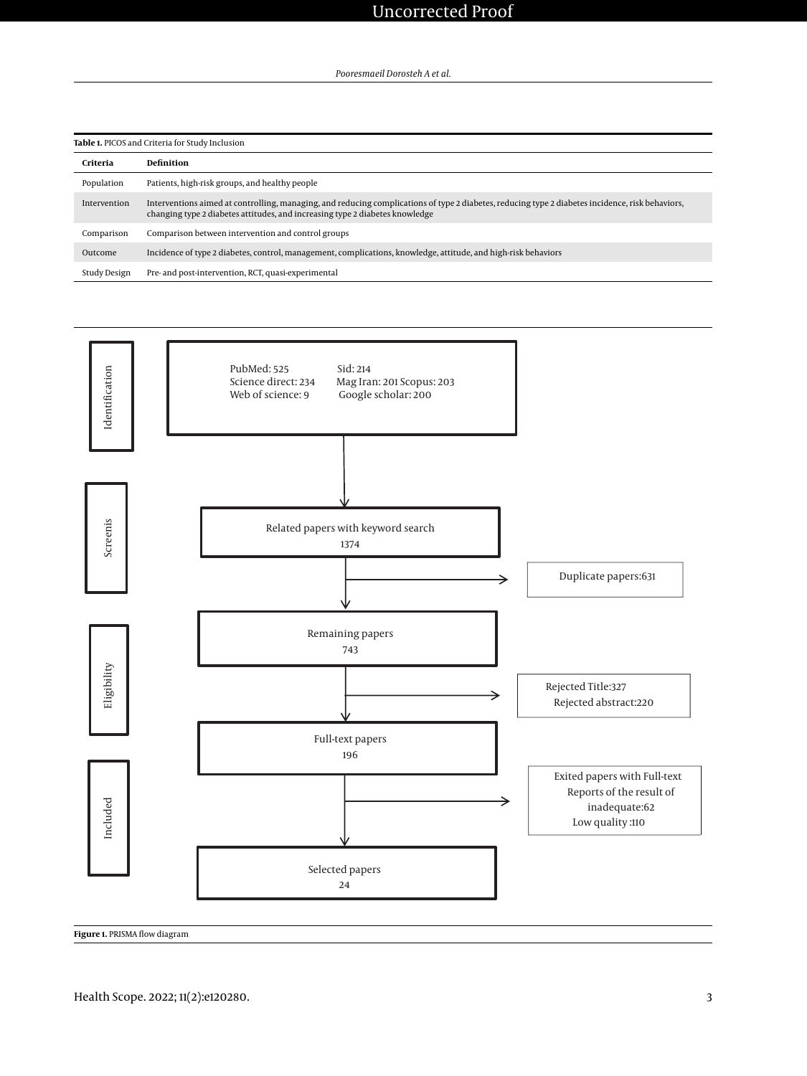<span id="page-2-0"></span>

| Table 1. PICOS and Criteria for Study Inclusion |                                                                                                                                                                                                                                  |
|-------------------------------------------------|----------------------------------------------------------------------------------------------------------------------------------------------------------------------------------------------------------------------------------|
| Criteria                                        | Definition                                                                                                                                                                                                                       |
| Population                                      | Patients, high-risk groups, and healthy people                                                                                                                                                                                   |
| Intervention                                    | Interventions aimed at controlling, managing, and reducing complications of type 2 diabetes, reducing type 2 diabetes incidence, risk behaviors,<br>changing type 2 diabetes attitudes, and increasing type 2 diabetes knowledge |
| Comparison                                      | Comparison between intervention and control groups                                                                                                                                                                               |
| Outcome                                         | Incidence of type 2 diabetes, control, management, complications, knowledge, attitude, and high-risk behaviors                                                                                                                   |
| Study Design                                    | Pre- and post-intervention, RCT, quasi-experimental                                                                                                                                                                              |

<span id="page-2-1"></span>

**Figure 1.** PRISMA flow diagram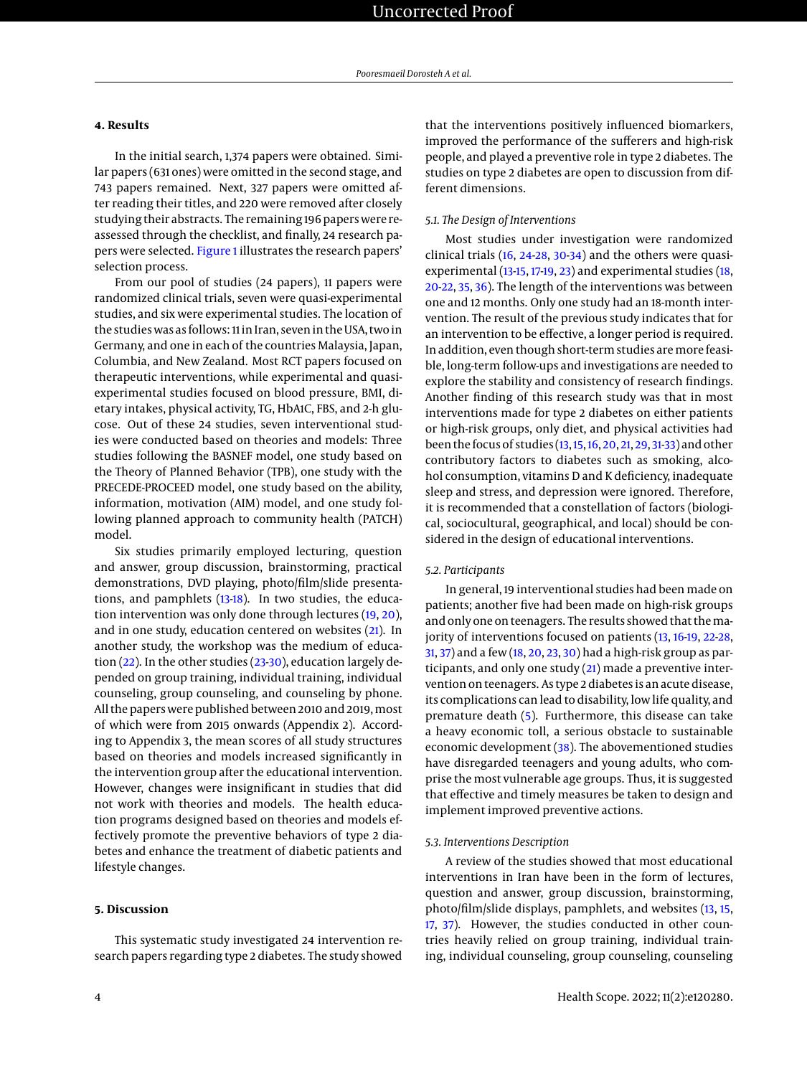#### **4. Results**

In the initial search, 1,374 papers were obtained. Similar papers (631 ones) were omitted in the second stage, and 743 papers remained. Next, 327 papers were omitted after reading their titles, and 220 were removed after closely studying their abstracts. The remaining 196 papers were reassessed through the checklist, and finally, 24 research papers were selected. [Figure 1](#page-2-1) illustrates the research papers' selection process.

From our pool of studies (24 papers), 11 papers were randomized clinical trials, seven were quasi-experimental studies, and six were experimental studies. The location of the studies was as follows: 11 in Iran, seven in the USA, two in Germany, and one in each of the countries Malaysia, Japan, Columbia, and New Zealand. Most RCT papers focused on therapeutic interventions, while experimental and quasiexperimental studies focused on blood pressure, BMI, dietary intakes, physical activity, TG, HbA1C, FBS, and 2-h glucose. Out of these 24 studies, seven interventional studies were conducted based on theories and models: Three studies following the BASNEF model, one study based on the Theory of Planned Behavior (TPB), one study with the PRECEDE-PROCEED model, one study based on the ability, information, motivation (AIM) model, and one study following planned approach to community health (PATCH) model.

Six studies primarily employed lecturing, question and answer, group discussion, brainstorming, practical demonstrations, DVD playing, photo/film/slide presentations, and pamphlets [\(13](#page-5-12)[-18\)](#page-5-13). In two studies, the education intervention was only done through lectures [\(19,](#page-5-14) [20\)](#page-5-15), and in one study, education centered on websites [\(21\)](#page-5-16). In another study, the workshop was the medium of education [\(22\)](#page-5-17). In the other studies [\(23-](#page-5-18)[30\)](#page-6-0), education largely depended on group training, individual training, individual counseling, group counseling, and counseling by phone. All the papers were published between 2010 and 2019, most of which were from 2015 onwards (Appendix 2). According to Appendix 3, the mean scores of all study structures based on theories and models increased significantly in the intervention group after the educational intervention. However, changes were insignificant in studies that did not work with theories and models. The health education programs designed based on theories and models effectively promote the preventive behaviors of type 2 diabetes and enhance the treatment of diabetic patients and lifestyle changes.

#### **5. Discussion**

This systematic study investigated 24 intervention research papers regarding type 2 diabetes. The study showed

that the interventions positively influenced biomarkers, improved the performance of the sufferers and high-risk people, and played a preventive role in type 2 diabetes. The studies on type 2 diabetes are open to discussion from different dimensions.

#### *5.1. The Design of Interventions*

Most studies under investigation were randomized clinical trials [\(16,](#page-5-19) [24](#page-5-20)[-28,](#page-6-1) [30](#page-6-0)[-34\)](#page-6-2) and the others were quasiexperimental [\(13](#page-5-12)[-15,](#page-5-21) [17](#page-5-22)[-19,](#page-5-14) [23\)](#page-5-18) and experimental studies [\(18,](#page-5-13) [20](#page-5-15)[-22,](#page-5-17) [35,](#page-6-3) [36\)](#page-6-4). The length of the interventions was between one and 12 months. Only one study had an 18-month intervention. The result of the previous study indicates that for an intervention to be effective, a longer period is required. In addition, even though short-term studies are more feasible, long-term follow-ups and investigations are needed to explore the stability and consistency of research findings. Another finding of this research study was that in most interventions made for type 2 diabetes on either patients or high-risk groups, only diet, and physical activities had been the focus of studies [\(13,](#page-5-12)[15,](#page-5-21)[16,](#page-5-19) [20,](#page-5-15) [21,](#page-5-16) [29,](#page-6-5) [31](#page-6-6)[-33\)](#page-6-7) and other contributory factors to diabetes such as smoking, alcohol consumption, vitamins D and K deficiency, inadequate sleep and stress, and depression were ignored. Therefore, it is recommended that a constellation of factors (biological, sociocultural, geographical, and local) should be considered in the design of educational interventions.

#### *5.2. Participants*

In general, 19 interventional studies had been made on patients; another five had been made on high-risk groups and only one on teenagers. The results showed that the ma-jority of interventions focused on patients [\(13,](#page-5-12) [16-](#page-5-19)[19,](#page-5-14) [22-](#page-5-17)[28,](#page-6-1) [31,](#page-6-6) [37\)](#page-6-8) and a few [\(18,](#page-5-13) [20,](#page-5-15) [23,](#page-5-18) [30\)](#page-6-0) had a high-risk group as participants, and only one study [\(21\)](#page-5-16) made a preventive intervention on teenagers. As type 2 diabetes is an acute disease, its complications can lead to disability, low life quality, and premature death [\(5\)](#page-5-4). Furthermore, this disease can take a heavy economic toll, a serious obstacle to sustainable economic development [\(38\)](#page-6-9). The abovementioned studies have disregarded teenagers and young adults, who comprise the most vulnerable age groups. Thus, it is suggested that effective and timely measures be taken to design and implement improved preventive actions.

#### *5.3. Interventions Description*

A review of the studies showed that most educational interventions in Iran have been in the form of lectures, question and answer, group discussion, brainstorming, photo/film/slide displays, pamphlets, and websites [\(13,](#page-5-12) [15,](#page-5-21) [17,](#page-5-22) [37\)](#page-6-8). However, the studies conducted in other countries heavily relied on group training, individual training, individual counseling, group counseling, counseling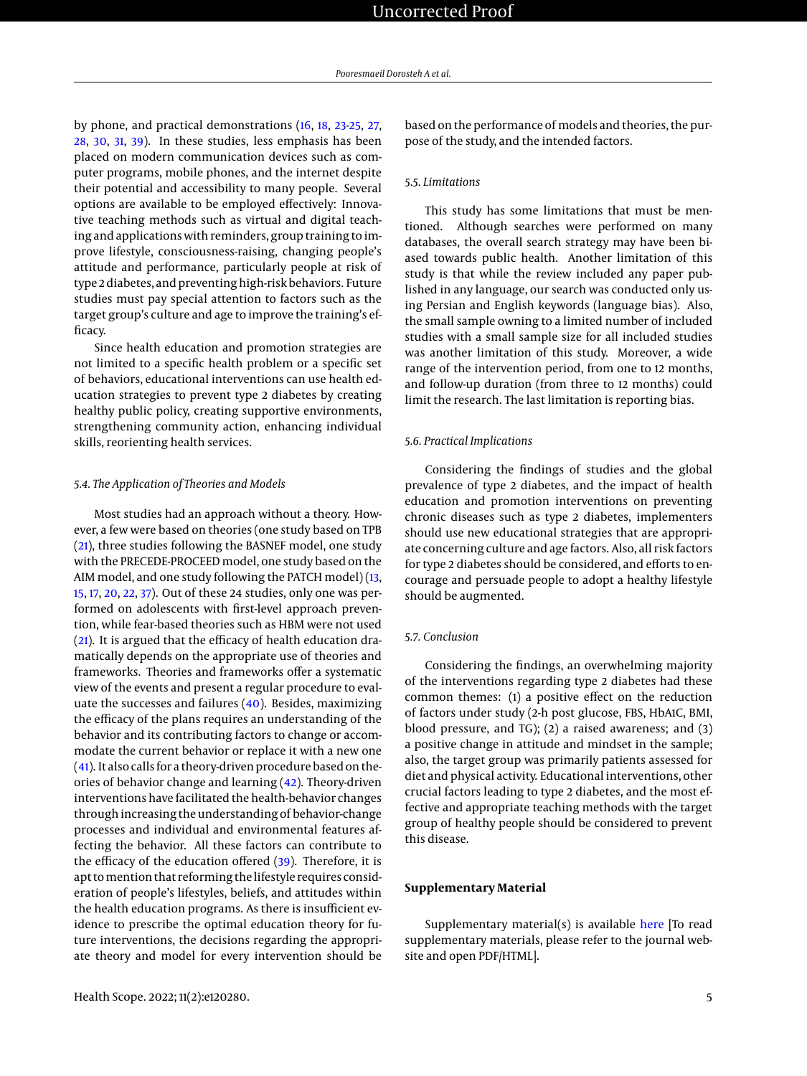by phone, and practical demonstrations [\(16,](#page-5-19) [18,](#page-5-13) [23-](#page-5-18)[25,](#page-5-23) [27,](#page-6-10) [28,](#page-6-1) [30,](#page-6-0) [31,](#page-6-6) [39\)](#page-6-11). In these studies, less emphasis has been placed on modern communication devices such as computer programs, mobile phones, and the internet despite their potential and accessibility to many people. Several options are available to be employed effectively: Innovative teaching methods such as virtual and digital teaching and applications with reminders, group training to improve lifestyle, consciousness-raising, changing people's attitude and performance, particularly people at risk of type 2 diabetes, and preventing high-risk behaviors. Future studies must pay special attention to factors such as the target group's culture and age to improve the training's efficacy.

Since health education and promotion strategies are not limited to a specific health problem or a specific set of behaviors, educational interventions can use health education strategies to prevent type 2 diabetes by creating healthy public policy, creating supportive environments, strengthening community action, enhancing individual skills, reorienting health services.

#### *5.4. The Application of Theories and Models*

Most studies had an approach without a theory. However, a few were based on theories (one study based on TPB [\(21\)](#page-5-16), three studies following the BASNEF model, one study with the PRECEDE-PROCEED model, one study based on the AIM model, and one study following the PATCH model) [\(13,](#page-5-12) [15,](#page-5-21) [17,](#page-5-22) [20,](#page-5-15) [22,](#page-5-17) [37\)](#page-6-8). Out of these 24 studies, only one was performed on adolescents with first-level approach prevention, while fear-based theories such as HBM were not used [\(21\)](#page-5-16). It is argued that the efficacy of health education dramatically depends on the appropriate use of theories and frameworks. Theories and frameworks offer a systematic view of the events and present a regular procedure to evaluate the successes and failures [\(40\)](#page-6-12). Besides, maximizing the efficacy of the plans requires an understanding of the behavior and its contributing factors to change or accommodate the current behavior or replace it with a new one [\(41\)](#page-6-13). It also calls for a theory-driven procedure based on theories of behavior change and learning [\(42\)](#page-6-14). Theory-driven interventions have facilitated the health-behavior changes through increasing the understanding of behavior-change processes and individual and environmental features affecting the behavior. All these factors can contribute to the efficacy of the education offered [\(39\)](#page-6-11). Therefore, it is apt to mention that reforming the lifestyle requires consideration of people's lifestyles, beliefs, and attitudes within the health education programs. As there is insufficient evidence to prescribe the optimal education theory for future interventions, the decisions regarding the appropriate theory and model for every intervention should be

based on the performance of models and theories, the purpose of the study, and the intended factors.

#### *5.5. Limitations*

This study has some limitations that must be mentioned. Although searches were performed on many databases, the overall search strategy may have been biased towards public health. Another limitation of this study is that while the review included any paper published in any language, our search was conducted only using Persian and English keywords (language bias). Also, the small sample owning to a limited number of included studies with a small sample size for all included studies was another limitation of this study. Moreover, a wide range of the intervention period, from one to 12 months, and follow-up duration (from three to 12 months) could limit the research. The last limitation is reporting bias.

#### *5.6. Practical Implications*

Considering the findings of studies and the global prevalence of type 2 diabetes, and the impact of health education and promotion interventions on preventing chronic diseases such as type 2 diabetes, implementers should use new educational strategies that are appropriate concerning culture and age factors. Also, all risk factors for type 2 diabetes should be considered, and efforts to encourage and persuade people to adopt a healthy lifestyle should be augmented.

#### *5.7. Conclusion*

Considering the findings, an overwhelming majority of the interventions regarding type 2 diabetes had these common themes: (1) a positive effect on the reduction of factors under study (2-h post glucose, FBS, HbA1C, BMI, blood pressure, and TG); (2) a raised awareness; and (3) a positive change in attitude and mindset in the sample; also, the target group was primarily patients assessed for diet and physical activity. Educational interventions, other crucial factors leading to type 2 diabetes, and the most effective and appropriate teaching methods with the target group of healthy people should be considered to prevent this disease.

#### **Supplementary Material**

Supplementary material( $s$ ) is available [here](https://healthscope.brieflands.com/cdn/dl/75e24198-efb8-11ec-9afc-8b3ef4b16d28) [To read supplementary materials, please refer to the journal website and open PDF/HTML].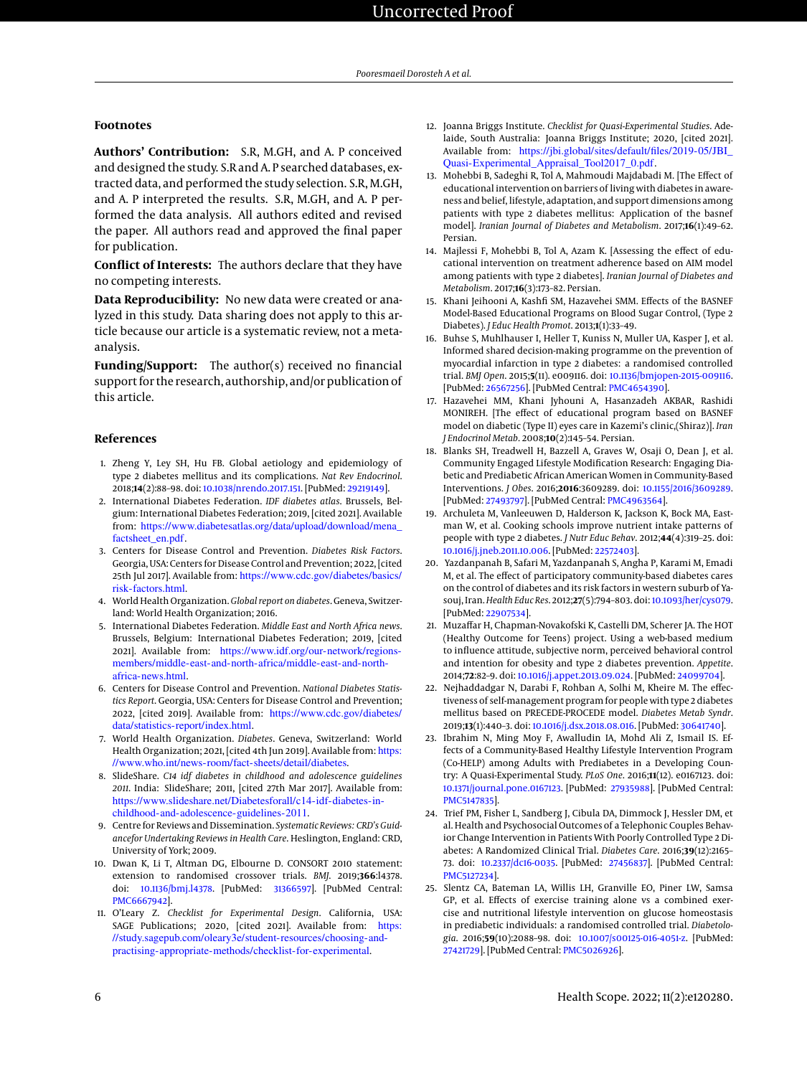#### **Footnotes**

**Authors' Contribution:** S.R, M.GH, and A. P conceived and designed the study. S.R and A. P searched databases, extracted data, and performed the study selection. S.R, M.GH, and A. P interpreted the results. S.R, M.GH, and A. P performed the data analysis. All authors edited and revised the paper. All authors read and approved the final paper for publication.

**Conflict of Interests:** The authors declare that they have no competing interests.

**Data Reproducibility:** No new data were created or analyzed in this study. Data sharing does not apply to this article because our article is a systematic review, not a metaanalysis.

**Funding/Support:** The author(s) received no financial support for the research, authorship, and/or publication of this article.

#### **References**

- <span id="page-5-0"></span>1. Zheng Y, Ley SH, Hu FB. Global aetiology and epidemiology of type 2 diabetes mellitus and its complications. *Nat Rev Endocrinol*. 2018;**14**(2):88–98. doi: [10.1038/nrendo.2017.151.](http://dx.doi.org/10.1038/nrendo.2017.151) [PubMed: [29219149\]](http://www.ncbi.nlm.nih.gov/pubmed/29219149).
- <span id="page-5-1"></span>2. International Diabetes Federation. *IDF diabetes atlas*. Brussels, Belgium: International Diabetes Federation; 2019, [cited 2021]. Available from: [https://www.diabetesatlas.org/data/upload/download/mena\\_](https://www.diabetesatlas.org/data/upload/download/mena_factsheet_en.pdf) [factsheet\\_en.pdf](https://www.diabetesatlas.org/data/upload/download/mena_factsheet_en.pdf).
- <span id="page-5-2"></span>3. Centers for Disease Control and Prevention. *Diabetes Risk Factors*. Georgia, USA: Centers for Disease Control and Prevention; 2022, [cited 25th Jul 2017]. Available from: [https://www.cdc.gov/diabetes/basics/](https://www.cdc.gov/diabetes/basics/risk-factors.html) [risk-factors.html](https://www.cdc.gov/diabetes/basics/risk-factors.html).
- <span id="page-5-3"></span>4. World Health Organization.*Global report on diabetes*. Geneva, Switzerland: World Health Organization; 2016.
- <span id="page-5-4"></span>5. International Diabetes Federation. *Middle East and North Africa news*. Brussels, Belgium: International Diabetes Federation; 2019, [cited 2021]. Available from: [https://www.idf.org/our-network/regions](https://www.idf.org/our-network/regions-members/middle-east-and-north-africa/middle-east-and-north-africa-news.html)[members/middle-east-and-north-africa/middle-east-and-north](https://www.idf.org/our-network/regions-members/middle-east-and-north-africa/middle-east-and-north-africa-news.html)[africa-news.html](https://www.idf.org/our-network/regions-members/middle-east-and-north-africa/middle-east-and-north-africa-news.html).
- <span id="page-5-5"></span>6. Centers for Disease Control and Prevention. *National Diabetes Statistics Report*. Georgia, USA: Centers for Disease Control and Prevention; 2022, [cited 2019]. Available from: [https://www.cdc.gov/diabetes/](https://www.cdc.gov/diabetes/data/statistics-report/index.html) [data/statistics-report/index.html](https://www.cdc.gov/diabetes/data/statistics-report/index.html).
- <span id="page-5-6"></span>7. World Health Organization. *Diabetes*. Geneva, Switzerland: World Health Organization; 2021, [cited 4th Jun 2019]. Available from: [https:](https://www.who.int/news-room/fact-sheets/detail/diabetes) [//www.who.int/news-room/fact-sheets/detail/diabetes](https://www.who.int/news-room/fact-sheets/detail/diabetes).
- <span id="page-5-7"></span>8. SlideShare. *C14 idf diabetes in childhood and adolescence guidelines 2011*. India: SlideShare; 2011, [cited 27th Mar 2017]. Available from: [https://www.slideshare.net/Diabetesforall/c14-idf-diabetes-in](https://www.slideshare.net/Diabetesforall/c14-idf-diabetes-in-childhood-and-adolescence-guidelines-2011)[childhood-and-adolescence-guidelines-2011](https://www.slideshare.net/Diabetesforall/c14-idf-diabetes-in-childhood-and-adolescence-guidelines-2011).
- <span id="page-5-8"></span>9. Centre for Reviews and Dissemination. *Systematic Reviews: CRD's Guidancefor Undertaking Reviews in Health Care*. Heslington, England: CRD, University of York; 2009.
- <span id="page-5-9"></span>10. Dwan K, Li T, Altman DG, Elbourne D. CONSORT 2010 statement: extension to randomised crossover trials. *BMJ*. 2019;**366**:l4378. doi: [10.1136/bmj.l4378.](http://dx.doi.org/10.1136/bmj.l4378) [PubMed: [31366597\]](http://www.ncbi.nlm.nih.gov/pubmed/31366597). [PubMed Central: [PMC6667942\]](https://www.ncbi.nlm.nih.gov/pmc/articles/PMC6667942).
- <span id="page-5-10"></span>11. O'Leary Z. *Checklist for Experimental Design*. California, USA: SAGE Publications; 2020, [cited 2021]. Available from: [https:](https://study.sagepub.com/oleary3e/student-resources/choosing-and-practising-appropriate-methods/checklist-for-experimental) [//study.sagepub.com/oleary3e/student-resources/choosing-and](https://study.sagepub.com/oleary3e/student-resources/choosing-and-practising-appropriate-methods/checklist-for-experimental)[practising-appropriate-methods/checklist-for-experimental](https://study.sagepub.com/oleary3e/student-resources/choosing-and-practising-appropriate-methods/checklist-for-experimental).
- <span id="page-5-11"></span>12. Joanna Briggs Institute. *Checklist for Quasi-Experimental Studies*. Adelaide, South Australia: Joanna Briggs Institute; 2020, [cited 2021]. Available from: https://jbi.global/sites/default/files/2019-05/JBI [Quasi-Experimental\\_Appraisal\\_Tool2017\\_0.pdf](https://jbi.global/sites/default/files/2019-05/JBI_Quasi-Experimental_Appraisal_Tool2017_0.pdf).
- <span id="page-5-12"></span>13. Mohebbi B, Sadeghi R, Tol A, Mahmoudi Majdabadi M. [The Effect of educational intervention on barriers of living with diabetes in awareness and belief, lifestyle, adaptation, and support dimensions among patients with type 2 diabetes mellitus: Application of the basnef model]. *Iranian Journal of Diabetes and Metabolism*. 2017;**16**(1):49–62. Persian.
- 14. Majlessi F, Mohebbi B, Tol A, Azam K. [Assessing the effect of educational intervention on treatment adherence based on AIM model among patients with type 2 diabetes]. *Iranian Journal of Diabetes and Metabolism*. 2017;**16**(3):173–82. Persian.
- <span id="page-5-21"></span>15. Khani Jeihooni A, Kashfi SM, Hazavehei SMM. Effects of the BASNEF Model-Based Educational Programs on Blood Sugar Control, (Type 2 Diabetes). *J Educ Health Promot*. 2013;**1**(1):33–49.
- <span id="page-5-19"></span>16. Buhse S, Muhlhauser I, Heller T, Kuniss N, Muller UA, Kasper J, et al. Informed shared decision-making programme on the prevention of myocardial infarction in type 2 diabetes: a randomised controlled trial. *BMJ Open*. 2015;**5**(11). e009116. doi: [10.1136/bmjopen-2015-009116.](http://dx.doi.org/10.1136/bmjopen-2015-009116) [PubMed: [26567256\]](http://www.ncbi.nlm.nih.gov/pubmed/26567256). [PubMed Central: [PMC4654390\]](https://www.ncbi.nlm.nih.gov/pmc/articles/PMC4654390).
- <span id="page-5-22"></span>17. Hazavehei MM, Khani Jyhouni A, Hasanzadeh AKBAR, Rashidi MONIREH. [The effect of educational program based on BASNEF model on diabetic (Type II) eyes care in Kazemi's clinic,(Shiraz)]. *Iran J Endocrinol Metab*. 2008;**10**(2):145–54. Persian.
- <span id="page-5-13"></span>18. Blanks SH, Treadwell H, Bazzell A, Graves W, Osaji O, Dean J, et al. Community Engaged Lifestyle Modification Research: Engaging Diabetic and Prediabetic African American Women in Community-Based Interventions. *J Obes*. 2016;**2016**:3609289. doi: [10.1155/2016/3609289.](http://dx.doi.org/10.1155/2016/3609289) [PubMed: [27493797\]](http://www.ncbi.nlm.nih.gov/pubmed/27493797). [PubMed Central: [PMC4963564\]](https://www.ncbi.nlm.nih.gov/pmc/articles/PMC4963564).
- <span id="page-5-14"></span>19. Archuleta M, Vanleeuwen D, Halderson K, Jackson K, Bock MA, Eastman W, et al. Cooking schools improve nutrient intake patterns of people with type 2 diabetes. *J Nutr Educ Behav*. 2012;**44**(4):319–25. doi: [10.1016/j.jneb.2011.10.006.](http://dx.doi.org/10.1016/j.jneb.2011.10.006) [PubMed: [22572403\]](http://www.ncbi.nlm.nih.gov/pubmed/22572403).
- <span id="page-5-15"></span>20. Yazdanpanah B, Safari M, Yazdanpanah S, Angha P, Karami M, Emadi M, et al. The effect of participatory community-based diabetes cares on the control of diabetes and its risk factors in western suburb of Yasouj, Iran.*Health Educ Res*. 2012;**27**(5):794–803. doi: [10.1093/her/cys079.](http://dx.doi.org/10.1093/her/cys079) [PubMed: [22907534\]](http://www.ncbi.nlm.nih.gov/pubmed/22907534).
- <span id="page-5-16"></span>21. Muzaffar H, Chapman-Novakofski K, Castelli DM, Scherer JA. The HOT (Healthy Outcome for Teens) project. Using a web-based medium to influence attitude, subjective norm, perceived behavioral control and intention for obesity and type 2 diabetes prevention. *Appetite*. 2014;**72**:82–9. doi: [10.1016/j.appet.2013.09.024.](http://dx.doi.org/10.1016/j.appet.2013.09.024) [PubMed: [24099704\]](http://www.ncbi.nlm.nih.gov/pubmed/24099704).
- <span id="page-5-17"></span>22. Nejhaddadgar N, Darabi F, Rohban A, Solhi M, Kheire M. The effectiveness of self-management program for people with type 2 diabetes mellitus based on PRECEDE-PROCEDE model. *Diabetes Metab Syndr*. 2019;**13**(1):440–3. doi: [10.1016/j.dsx.2018.08.016.](http://dx.doi.org/10.1016/j.dsx.2018.08.016) [PubMed: [30641740\]](http://www.ncbi.nlm.nih.gov/pubmed/30641740).
- <span id="page-5-18"></span>23. Ibrahim N, Ming Moy F, Awalludin IA, Mohd Ali Z, Ismail IS. Effects of a Community-Based Healthy Lifestyle Intervention Program (Co-HELP) among Adults with Prediabetes in a Developing Country: A Quasi-Experimental Study. *PLoS One*. 2016;**11**(12). e0167123. doi: [10.1371/journal.pone.0167123.](http://dx.doi.org/10.1371/journal.pone.0167123) [PubMed: [27935988\]](http://www.ncbi.nlm.nih.gov/pubmed/27935988). [PubMed Central: [PMC5147835\]](https://www.ncbi.nlm.nih.gov/pmc/articles/PMC5147835).
- <span id="page-5-20"></span>24. Trief PM, Fisher L, Sandberg J, Cibula DA, Dimmock J, Hessler DM, et al. Health and Psychosocial Outcomes of a Telephonic Couples Behavior Change Intervention in Patients With Poorly Controlled Type 2 Diabetes: A Randomized Clinical Trial. *Diabetes Care*. 2016;**39**(12):2165– 73. doi: [10.2337/dc16-0035.](http://dx.doi.org/10.2337/dc16-0035) [PubMed: [27456837\]](http://www.ncbi.nlm.nih.gov/pubmed/27456837). [PubMed Central: [PMC5127234\]](https://www.ncbi.nlm.nih.gov/pmc/articles/PMC5127234).
- <span id="page-5-23"></span>25. Slentz CA, Bateman LA, Willis LH, Granville EO, Piner LW, Samsa GP, et al. Effects of exercise training alone vs a combined exercise and nutritional lifestyle intervention on glucose homeostasis in prediabetic individuals: a randomised controlled trial. *Diabetologia*. 2016;**59**(10):2088–98. doi: [10.1007/s00125-016-4051-z.](http://dx.doi.org/10.1007/s00125-016-4051-z) [PubMed: [27421729\]](http://www.ncbi.nlm.nih.gov/pubmed/27421729). [PubMed Central: [PMC5026926\]](https://www.ncbi.nlm.nih.gov/pmc/articles/PMC5026926).